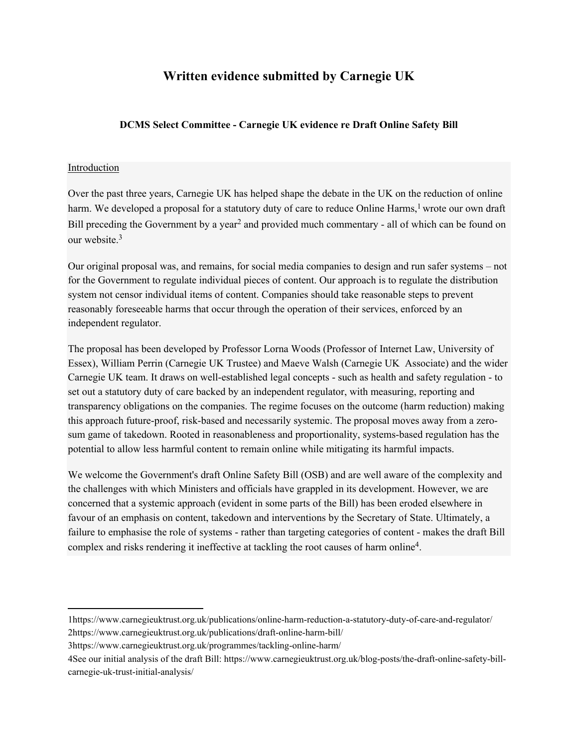# **Written evidence submitted by Carnegie UK**

### **DCMS Select Committee - Carnegie UK evidence re Draft Online Safety Bill**

#### Introduction

Over the past three years, Carnegie UK has helped shape the debate in the UK on the reduction of online harm. We developed a proposal for a statutory duty of care to reduce Online Harms,<sup>1</sup> wrote our own draft Bill preceding the Government by a year<sup>2</sup> and provided much commentary - all of which can be found on our website  $3$ 

Our original proposal was, and remains, for social media companies to design and run safer systems – not for the Government to regulate individual pieces of content. Our approach is to regulate the distribution system not censor individual items of content. Companies should take reasonable steps to prevent reasonably foreseeable harms that occur through the operation of their services, enforced by an independent regulator.

The proposal has been developed by Professor Lorna Woods (Professor of Internet Law, University of Essex), William Perrin (Carnegie UK Trustee) and Maeve Walsh (Carnegie UK Associate) and the wider Carnegie UK team. It draws on well-established legal concepts - such as health and safety regulation - to set out a statutory duty of care backed by an independent regulator, with measuring, reporting and transparency obligations on the companies. The regime focuses on the outcome (harm reduction) making this approach future-proof, risk-based and necessarily systemic. The proposal moves away from a zerosum game of takedown. Rooted in reasonableness and proportionality, systems-based regulation has the potential to allow less harmful content to remain online while mitigating its harmful impacts.

We welcome the Government's draft Online Safety Bill (OSB) and are well aware of the complexity and the challenges with which Ministers and officials have grappled in its development. However, we are concerned that a systemic approach (evident in some parts of the Bill) has been eroded elsewhere in favour of an emphasis on content, takedown and interventions by the Secretary of State. Ultimately, a failure to emphasise the role of systems - rather than targeting categories of content - makes the draft Bill complex and risks rendering it ineffective at tackling the root causes of harm online<sup>4</sup> .

<sup>1</sup>https://www.carnegieuktrust.org.uk/publications/online-harm-reduction-a-statutory-duty-of-care-and-regulator/ 2https://www.carnegieuktrust.org.uk/publications/draft-online-harm-bill/

<sup>3</sup>https://www.carnegieuktrust.org.uk/programmes/tackling-online-harm/

<sup>4</sup>See our initial analysis of the draft Bill: https://www.carnegieuktrust.org.uk/blog-posts/the-draft-online-safety-billcarnegie-uk-trust-initial-analysis/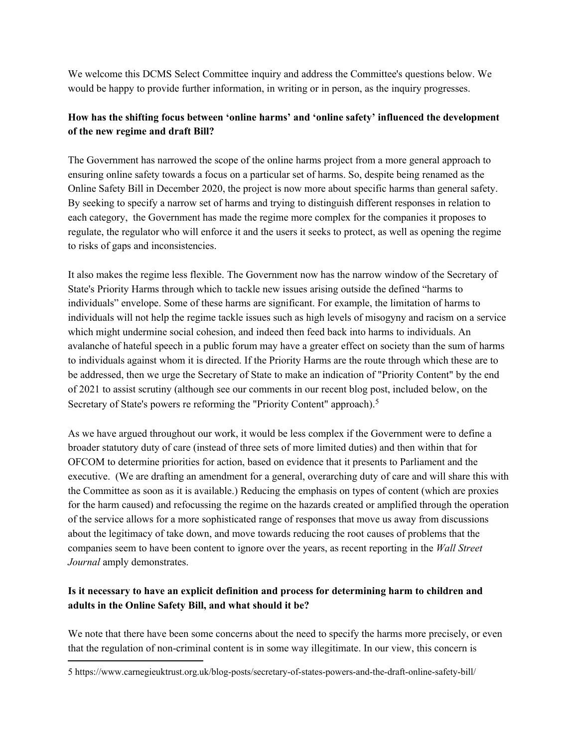We welcome this DCMS Select Committee inquiry and address the Committee's questions below. We would be happy to provide further information, in writing or in person, as the inquiry progresses.

### **How has the shifting focus between 'online harms' and 'online safety' influenced the development of the new regime and draft Bill?**

The Government has narrowed the scope of the online harms project from a more general approach to ensuring online safety towards a focus on a particular set of harms. So, despite being renamed as the Online Safety Bill in December 2020, the project is now more about specific harms than general safety. By seeking to specify a narrow set of harms and trying to distinguish different responses in relation to each category, the Government has made the regime more complex for the companies it proposes to regulate, the regulator who will enforce it and the users it seeks to protect, as well as opening the regime to risks of gaps and inconsistencies.

It also makes the regime less flexible. The Government now has the narrow window of the Secretary of State's Priority Harms through which to tackle new issues arising outside the defined "harms to individuals" envelope. Some of these harms are significant. For example, the limitation of harms to individuals will not help the regime tackle issues such as high levels of misogyny and racism on a service which might undermine social cohesion, and indeed then feed back into harms to individuals. An avalanche of hateful speech in a public forum may have a greater effect on society than the sum of harms to individuals against whom it is directed. If the Priority Harms are the route through which these are to be addressed, then we urge the Secretary of State to make an indication of "Priority Content" by the end of 2021 to assist scrutiny (although see our comments in our recent blog post, included below, on the Secretary of State's powers re reforming the "Priority Content" approach).<sup>5</sup>

As we have argued throughout our work, it would be less complex if the Government were to define a broader statutory duty of care (instead of three sets of more limited duties) and then within that for OFCOM to determine priorities for action, based on evidence that it presents to Parliament and the executive. (We are drafting an amendment for a general, overarching duty of care and will share this with the Committee as soon as it is available.) Reducing the emphasis on types of content (which are proxies for the harm caused) and refocussing the regime on the hazards created or amplified through the operation of the service allows for a more sophisticated range of responses that move us away from discussions about the legitimacy of take down, and move towards reducing the root causes of problems that the companies seem to have been content to ignore over the years, as recent reporting in the *Wall Street Journal* amply demonstrates.

### **Is it necessary to have an explicit definition and process for determining harm to children and adults in the Online Safety Bill, and what should it be?**

We note that there have been some concerns about the need to specify the harms more precisely, or even that the regulation of non-criminal content is in some way illegitimate. In our view, this concern is

<sup>5</sup> https://www.carnegieuktrust.org.uk/blog-posts/secretary-of-states-powers-and-the-draft-online-safety-bill/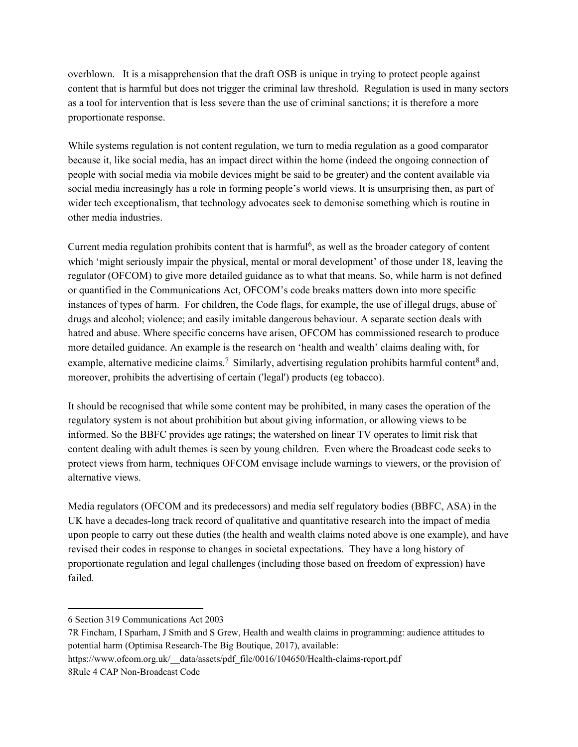overblown. It is a misapprehension that the draft OSB is unique in trying to protect people against content that is harmful but does not trigger the criminal law threshold. Regulation is used in many sectors as a tool for intervention that is less severe than the use of criminal sanctions; it is therefore a more proportionate response.

While systems regulation is not content regulation, we turn to media regulation as a good comparator because it, like social media, has an impact direct within the home (indeed the ongoing connection of people with social media via mobile devices might be said to be greater) and the content available via social media increasingly has a role in forming people's world views. It is unsurprising then, as part of wider tech exceptionalism, that technology advocates seek to demonise something which is routine in other media industries.

Current media regulation prohibits content that is harmful<sup>6</sup>, as well as the broader category of content which 'might seriously impair the physical, mental or moral development' of those under 18, leaving the regulator (OFCOM) to give more detailed guidance as to what that means. So, while harm is not defined or quantified in the Communications Act, OFCOM's code breaks matters down into more specific instances of types of harm. For children, the Code flags, for example, the use of illegal drugs, abuse of drugs and alcohol; violence; and easily imitable dangerous behaviour. A separate section deals with hatred and abuse. Where specific concerns have arisen, OFCOM has commissioned research to produce more detailed guidance. An example is the research on 'health and wealth' claims dealing with, for example, alternative medicine claims.<sup>7</sup> Similarly, advertising regulation prohibits harmful content<sup>8</sup> and, moreover, prohibits the advertising of certain ('legal') products (eg tobacco).

It should be recognised that while some content may be prohibited, in many cases the operation of the regulatory system is not about prohibition but about giving information, or allowing views to be informed. So the BBFC provides age ratings; the watershed on linear TV operates to limit risk that content dealing with adult themes is seen by young children. Even where the Broadcast code seeks to protect views from harm, techniques OFCOM envisage include warnings to viewers, or the provision of alternative views.

Media regulators (OFCOM and its predecessors) and media self regulatory bodies (BBFC, ASA) in the UK have a decades-long track record of qualitative and quantitative research into the impact of media upon people to carry out these duties (the health and wealth claims noted above is one example), and have revised their codes in response to changes in societal expectations. They have a long history of proportionate regulation and legal challenges (including those based on freedom of expression) have failed.

<sup>6</sup> Section 319 Communications Act 2003

<sup>7</sup>R Fincham, I Sparham, J Smith and S Grew, Health and wealth claims in programming: audience attitudes to potential harm (Optimisa Research-The Big Boutique, 2017), available:

https://www.ofcom.org.uk/\_\_data/assets/pdf\_file/0016/104650/Health-claims-report.pdf 8Rule 4 CAP Non-Broadcast Code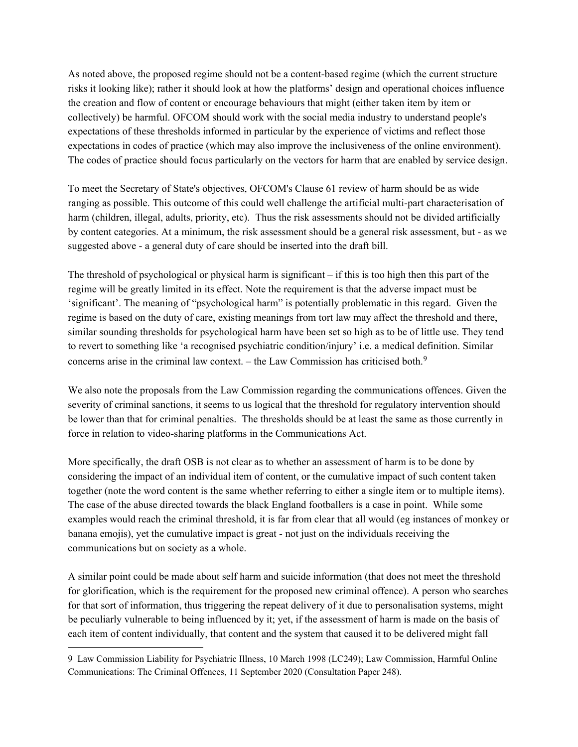As noted above, the proposed regime should not be a content-based regime (which the current structure risks it looking like); rather it should look at how the platforms' design and operational choices influence the creation and flow of content or encourage behaviours that might (either taken item by item or collectively) be harmful. OFCOM should work with the social media industry to understand people's expectations of these thresholds informed in particular by the experience of victims and reflect those expectations in codes of practice (which may also improve the inclusiveness of the online environment). The codes of practice should focus particularly on the vectors for harm that are enabled by service design.

To meet the Secretary of State's objectives, OFCOM's Clause 61 review of harm should be as wide ranging as possible. This outcome of this could well challenge the artificial multi-part characterisation of harm (children, illegal, adults, priority, etc). Thus the risk assessments should not be divided artificially by content categories. At a minimum, the risk assessment should be a general risk assessment, but - as we suggested above - a general duty of care should be inserted into the draft bill.

The threshold of psychological or physical harm is significant – if this is too high then this part of the regime will be greatly limited in its effect. Note the requirement is that the adverse impact must be 'significant'. The meaning of "psychological harm" is potentially problematic in this regard. Given the regime is based on the duty of care, existing meanings from tort law may affect the threshold and there, similar sounding thresholds for psychological harm have been set so high as to be of little use. They tend to revert to something like 'a recognised psychiatric condition/injury' i.e. a medical definition. Similar concerns arise in the criminal law context. – the Law Commission has criticised both.9

We also note the proposals from the Law Commission regarding the communications offences. Given the severity of criminal sanctions, it seems to us logical that the threshold for regulatory intervention should be lower than that for criminal penalties. The thresholds should be at least the same as those currently in force in relation to video-sharing platforms in the Communications Act.

More specifically, the draft OSB is not clear as to whether an assessment of harm is to be done by considering the impact of an individual item of content, or the cumulative impact of such content taken together (note the word content is the same whether referring to either a single item or to multiple items). The case of the abuse directed towards the black England footballers is a case in point. While some examples would reach the criminal threshold, it is far from clear that all would (eg instances of monkey or banana emojis), yet the cumulative impact is great - not just on the individuals receiving the communications but on society as a whole.

A similar point could be made about self harm and suicide information (that does not meet the threshold for glorification, which is the requirement for the proposed new criminal offence). A person who searches for that sort of information, thus triggering the repeat delivery of it due to personalisation systems, might be peculiarly vulnerable to being influenced by it; yet, if the assessment of harm is made on the basis of each item of content individually, that content and the system that caused it to be delivered might fall

<sup>9</sup> Law Commission Liability for Psychiatric Illness, 10 March 1998 (LC249); Law Commission, Harmful Online Communications: The Criminal Offences, 11 September 2020 (Consultation Paper 248).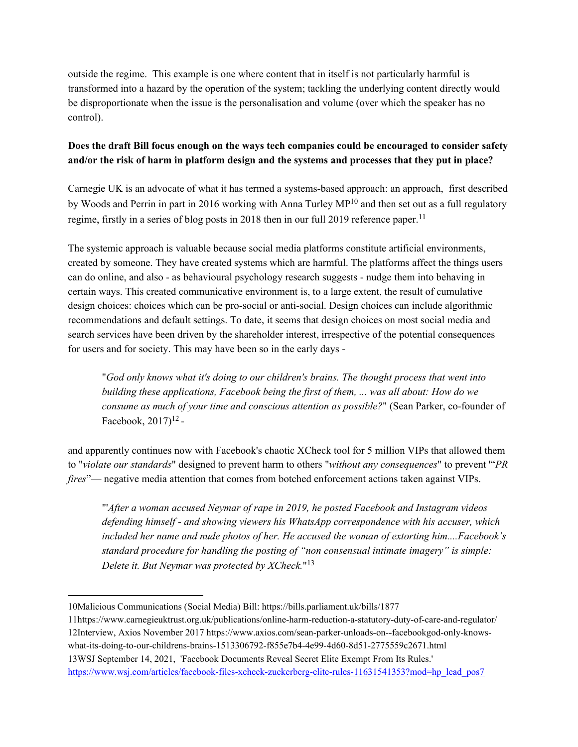outside the regime. This example is one where content that in itself is not particularly harmful is transformed into a hazard by the operation of the system; tackling the underlying content directly would be disproportionate when the issue is the personalisation and volume (over which the speaker has no control).

### **Does the draft Bill focus enough on the ways tech companies could be encouraged to consider safety and/or the risk of harm in platform design and the systems and processes that they put in place?**

Carnegie UK is an advocate of what it has termed a systems-based approach: an approach, first described by Woods and Perrin in part in 2016 working with Anna Turley MP<sup>10</sup> and then set out as a full regulatory regime, firstly in a series of blog posts in 2018 then in our full 2019 reference paper.<sup>11</sup>

The systemic approach is valuable because social media platforms constitute artificial environments, created by someone. They have created systems which are harmful. The platforms affect the things users can do online, and also - as behavioural psychology research suggests - nudge them into behaving in certain ways. This created communicative environment is, to a large extent, the result of cumulative design choices: choices which can be pro-social or anti-social. Design choices can include algorithmic recommendations and default settings. To date, it seems that design choices on most social media and search services have been driven by the shareholder interest, irrespective of the potential consequences for users and for society. This may have been so in the early days -

"*God only knows what it's doing to our children's brains. The thought process that went into building these applications, Facebook being the first of them, ... was all about: How do we consume as much of your time and conscious attention as possible?*" (Sean Parker, co-founder of Facebook,  $2017$ <sup> $12$ </sup>-

and apparently continues now with Facebook's chaotic XCheck tool for 5 million VIPs that allowed them to "*violate our standards*" designed to prevent harm to others "*without any consequences*" to prevent '"*PR fires*"— negative media attention that comes from botched enforcement actions taken against VIPs.

"'*After a woman accused Neymar of rape in 2019, he posted Facebook and Instagram videos defending himself - and showing viewers his WhatsApp correspondence with his accuser, which included her name and nude photos of her. He accused the woman of extorting him....Facebook's standard procedure for handling the posting of "non consensual intimate imagery" is simple: Delete it. But Neymar was protected by XCheck.*" 13

<sup>10</sup>Malicious Communications (Social Media) Bill: https://bills.parliament.uk/bills/1877

<sup>11</sup>https://www.carnegieuktrust.org.uk/publications/online-harm-reduction-a-statutory-duty-of-care-and-regulator/ 12Interview, Axios November 2017 https://www.axios.com/sean-parker-unloads-on--facebookgod-only-knowswhat-its-doing-to-our-childrens-brains-1513306792-f855e7b4-4e99-4d60-8d51-2775559c2671.html 13WSJ September 14, 2021, 'Facebook Documents Reveal Secret Elite Exempt From Its Rules.' [https://www.wsj.com/articles/facebook-files-xcheck-zuckerberg-elite-rules-11631541353?mod=hp\\_lead\\_pos7](https://www.wsj.com/articles/facebook-files-xcheck-zuckerberg-elite-rules-11631541353?mod=hp_lead_pos7)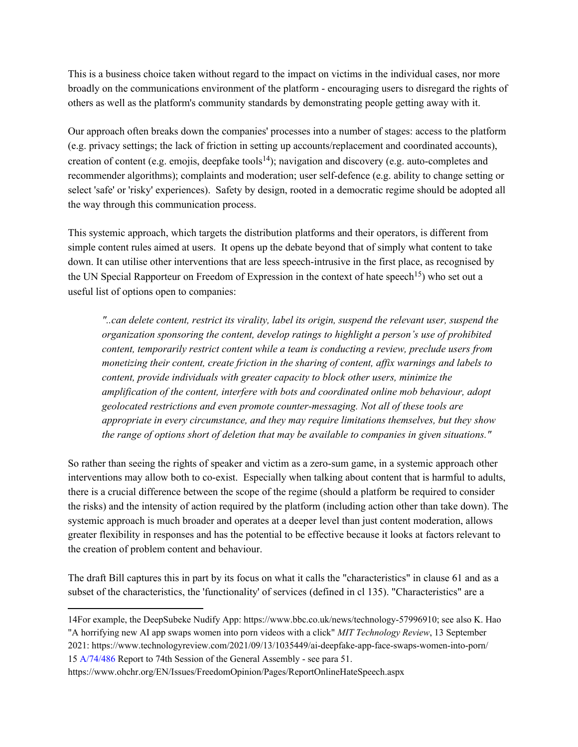This is a business choice taken without regard to the impact on victims in the individual cases, nor more broadly on the communications environment of the platform - encouraging users to disregard the rights of others as well as the platform's community standards by demonstrating people getting away with it.

Our approach often breaks down the companies' processes into a number of stages: access to the platform (e.g. privacy settings; the lack of friction in setting up accounts/replacement and coordinated accounts), creation of content (e.g. emojis, deepfake tools<sup>14</sup>); navigation and discovery (e.g. auto-completes and recommender algorithms); complaints and moderation; user self-defence (e.g. ability to change setting or select 'safe' or 'risky' experiences). Safety by design, rooted in a democratic regime should be adopted all the way through this communication process.

This systemic approach, which targets the distribution platforms and their operators, is different from simple content rules aimed at users. It opens up the debate beyond that of simply what content to take down. It can utilise other interventions that are less speech-intrusive in the first place, as recognised by the UN Special Rapporteur on Freedom of Expression in the context of hate speech<sup>15</sup>) who set out a useful list of options open to companies:

*"..can delete content, restrict its virality, label its origin, suspend the relevant user, suspend the organization sponsoring the content, develop ratings to highlight a person's use of prohibited content, temporarily restrict content while a team is conducting a review, preclude users from monetizing their content, create friction in the sharing of content, affix warnings and labels to content, provide individuals with greater capacity to block other users, minimize the amplification of the content, interfere with bots and coordinated online mob behaviour, adopt geolocated restrictions and even promote counter-messaging. Not all of these tools are appropriate in every circumstance, and they may require limitations themselves, but they show the range of options short of deletion that may be available to companies in given situations."*

So rather than seeing the rights of speaker and victim as a zero-sum game, in a systemic approach other interventions may allow both to co-exist. Especially when talking about content that is harmful to adults, there is a crucial difference between the scope of the regime (should a platform be required to consider the risks) and the intensity of action required by the platform (including action other than take down). The systemic approach is much broader and operates at a deeper level than just content moderation, allows greater flexibility in responses and has the potential to be effective because it looks at factors relevant to the creation of problem content and behaviour.

The draft Bill captures this in part by its focus on what it calls the "characteristics" in clause 61 and as a subset of the characteristics, the 'functionality' of services (defined in cl 135). "Characteristics" are a

<sup>14</sup>For example, the DeepSubeke Nudify App: https://www.bbc.co.uk/news/technology-57996910; see also K. Hao

<sup>&</sup>quot;A horrifying new AI app swaps women into porn videos with a click" *MIT Technology Review*, 13 September 2021: https://www.technologyreview.com/2021/09/13/1035449/ai-deepfake-app-face-swaps-women-into-porn/ 15 A/74/486 Report to 74th Session of the General Assembly - see para 51.

https://www.ohchr.org/EN/Issues/FreedomOpinion/Pages/ReportOnlineHateSpeech.aspx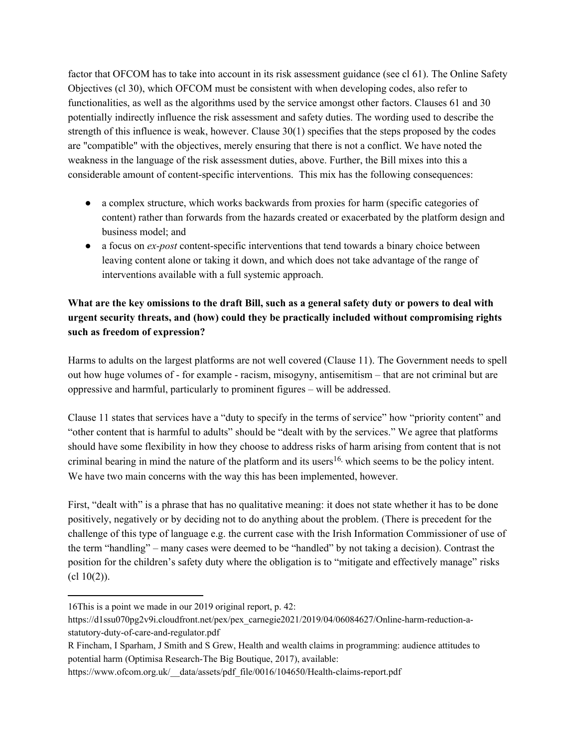factor that OFCOM has to take into account in its risk assessment guidance (see cl 61). The Online Safety Objectives (cl 30), which OFCOM must be consistent with when developing codes, also refer to functionalities, as well as the algorithms used by the service amongst other factors. Clauses 61 and 30 potentially indirectly influence the risk assessment and safety duties. The wording used to describe the strength of this influence is weak, however. Clause 30(1) specifies that the steps proposed by the codes are "compatible" with the objectives, merely ensuring that there is not a conflict. We have noted the weakness in the language of the risk assessment duties, above. Further, the Bill mixes into this a considerable amount of content-specific interventions. This mix has the following consequences:

- a complex structure, which works backwards from proxies for harm (specific categories of content) rather than forwards from the hazards created or exacerbated by the platform design and business model; and
- a focus on *ex-post* content-specific interventions that tend towards a binary choice between leaving content alone or taking it down, and which does not take advantage of the range of interventions available with a full systemic approach.

## What are the key omissions to the draft Bill, such as a general safety duty or powers to deal with **urgent security threats, and (how) could they be practically included without compromising rights such as freedom of expression?**

Harms to adults on the largest platforms are not well covered (Clause 11). The Government needs to spell out how huge volumes of - for example - racism, misogyny, antisemitism – that are not criminal but are oppressive and harmful, particularly to prominent figures – will be addressed.

Clause 11 states that services have a "duty to specify in the terms of service" how "priority content" and "other content that is harmful to adults" should be "dealt with by the services." We agree that platforms should have some flexibility in how they choose to address risks of harm arising from content that is not criminal bearing in mind the nature of the platform and its users<sup>16,</sup> which seems to be the policy intent. We have two main concerns with the way this has been implemented, however.

First, "dealt with" is a phrase that has no qualitative meaning: it does not state whether it has to be done positively, negatively or by deciding not to do anything about the problem. (There is precedent for the challenge of this type of language e.g. the current case with the Irish Information Commissioner of use of the term "handling" – many cases were deemed to be "handled" by not taking a decision). Contrast the position for the children's safety duty where the obligation is to "mitigate and effectively manage" risks  $(cl 10(2))$ .

<sup>16</sup>This is a point we made in our 2019 original report, p. 42:

https://d1ssu070pg2v9i.cloudfront.net/pex/pex\_carnegie2021/2019/04/06084627/Online-harm-reduction-astatutory-duty-of-care-and-regulator.pdf

R Fincham, I Sparham, J Smith and S Grew, Health and wealth claims in programming: audience attitudes to potential harm (Optimisa Research-The Big Boutique, 2017), available:

https://www.ofcom.org.uk/ data/assets/pdf file/0016/104650/Health-claims-report.pdf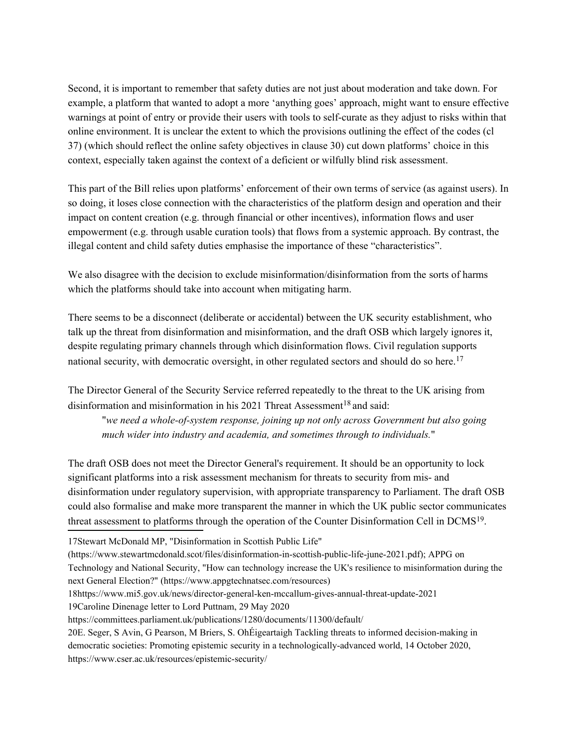Second, it is important to remember that safety duties are not just about moderation and take down. For example, a platform that wanted to adopt a more 'anything goes' approach, might want to ensure effective warnings at point of entry or provide their users with tools to self-curate as they adjust to risks within that online environment. It is unclear the extent to which the provisions outlining the effect of the codes (cl 37) (which should reflect the online safety objectives in clause 30) cut down platforms' choice in this context, especially taken against the context of a deficient or wilfully blind risk assessment.

This part of the Bill relies upon platforms' enforcement of their own terms of service (as against users). In so doing, it loses close connection with the characteristics of the platform design and operation and their impact on content creation (e.g. through financial or other incentives), information flows and user empowerment (e.g. through usable curation tools) that flows from a systemic approach. By contrast, the illegal content and child safety duties emphasise the importance of these "characteristics".

We also disagree with the decision to exclude misinformation/disinformation from the sorts of harms which the platforms should take into account when mitigating harm.

There seems to be a disconnect (deliberate or accidental) between the UK security establishment, who talk up the threat from disinformation and misinformation, and the draft OSB which largely ignores it, despite regulating primary channels through which disinformation flows. Civil regulation supports national security, with democratic oversight, in other regulated sectors and should do so here.<sup>17</sup>

The Director General of the Security Service referred repeatedly to the threat to the UK arising from disinformation and misinformation in his 2021 Threat Assessment<sup>18</sup> and said:

"*we need a whole-of-system response, joining up not only across Government but also going much wider into industry and academia, and sometimes through to individuals.*"

The draft OSB does not meet the Director General's requirement. It should be an opportunity to lock significant platforms into a risk assessment mechanism for threats to security from mis- and disinformation under regulatory supervision, with appropriate transparency to Parliament. The draft OSB could also formalise and make more transparent the manner in which the UK public sector communicates threat assessment to platforms through the operation of the Counter Disinformation Cell in DCMS<sup>19</sup>.

17Stewart McDonald MP, "Disinformation in Scottish Public Life"

(https://www.stewartmcdonald.scot/files/disinformation-in-scottish-public-life-june-2021.pdf); APPG on

Technology and National Security, "How can technology increase the UK's resilience to misinformation during the next General Election?" (https://www.appgtechnatsec.com/resources)

18https://www.mi5.gov.uk/news/director-general-ken-mccallum-gives-annual-threat-update-2021

19Caroline Dinenage letter to Lord Puttnam, 29 May 2020

https://committees.parliament.uk/publications/1280/documents/11300/default/

<sup>20</sup>E. Seger, S Avin, G Pearson, M Briers, S. OhÉigeartaigh Tackling threats to informed decision-making in democratic societies: Promoting epistemic security in a technologically-advanced world, 14 October 2020, https://www.cser.ac.uk/resources/epistemic-security/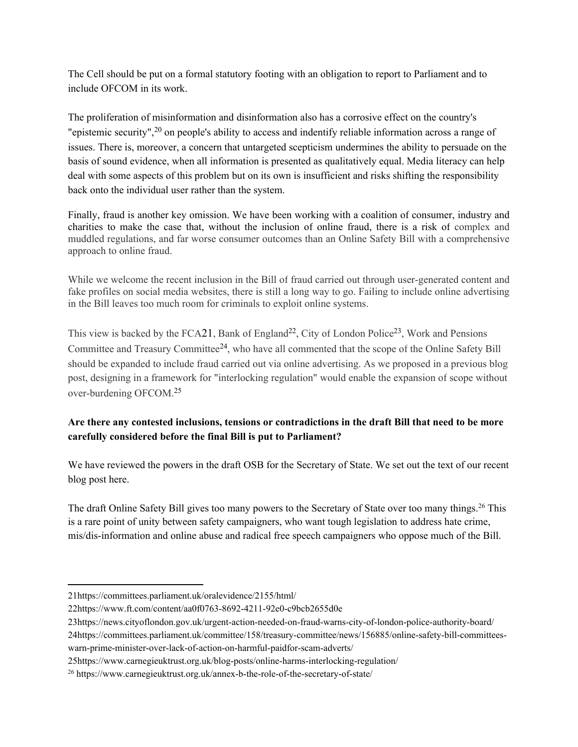The Cell should be put on a formal statutory footing with an obligation to report to Parliament and to include OFCOM in its work.

The proliferation of misinformation and disinformation also has a corrosive effect on the country's "epistemic security",<sup>20</sup> on people's ability to access and indentify reliable information across a range of issues. There is, moreover, a concern that untargeted scepticism undermines the ability to persuade on the basis of sound evidence, when all information is presented as qualitatively equal. Media literacy can help deal with some aspects of this problem but on its own is insufficient and risks shifting the responsibility back onto the individual user rather than the system.

Finally, fraud is another key omission. We have been working with a coalition of consumer, industry and charities to make the case that, without the inclusion of online fraud, there is a risk of complex and muddled regulations, and far worse consumer outcomes than an Online Safety Bill with a comprehensive approach to online fraud.

While we welcome the recent inclusion in the Bill of fraud carried out through user-generated content and fake profiles on social media websites, there is still a long way to go. Failing to include online advertising in the Bill leaves too much room for criminals to exploit online systems.

This view is backed by the FCA21, Bank of England<sup>22</sup>, City of London Police<sup>23</sup>, Work and Pensions Committee and Treasury Committee<sup>24</sup>, who have all commented that the scope of the Online Safety Bill should be expanded to include fraud carried out via online advertising. As we proposed in a previous blog post, designing in a framework for "interlocking regulation" would enable the expansion of scope without over-burdening OFCOM.<sup>25</sup>

### **Are there any contested inclusions, tensions or contradictions in the draft Bill that need to be more carefully considered before the final Bill is put to Parliament?**

We have reviewed the powers in the draft OSB for the Secretary of State. We set out the text of our recent blog post here.

The draft Online Safety Bill gives too many powers to the Secretary of State over too many things.<sup>26</sup> This is a rare point of unity between safety campaigners, who want tough legislation to address hate crime, mis/dis-information and online abuse and radical free speech campaigners who oppose much of the Bill.

23https://news.cityoflondon.gov.uk/urgent-action-needed-on-fraud-warns-city-of-london-police-authority-board/ 24https://committees.parliament.uk/committee/158/treasury-committee/news/156885/online-safety-bill-committeeswarn-prime-minister-over-lack-of-action-on-harmful-paidfor-scam-adverts/

<sup>21</sup>https://committees.parliament.uk/oralevidence/2155/html/

<sup>22</sup>https://www.ft.com/content/aa0f0763-8692-4211-92e0-c9bcb2655d0e

<sup>25</sup>https://www.carnegieuktrust.org.uk/blog-posts/online-harms-interlocking-regulation/

<sup>26</sup> https://www.carnegieuktrust.org.uk/annex-b-the-role-of-the-secretary-of-state/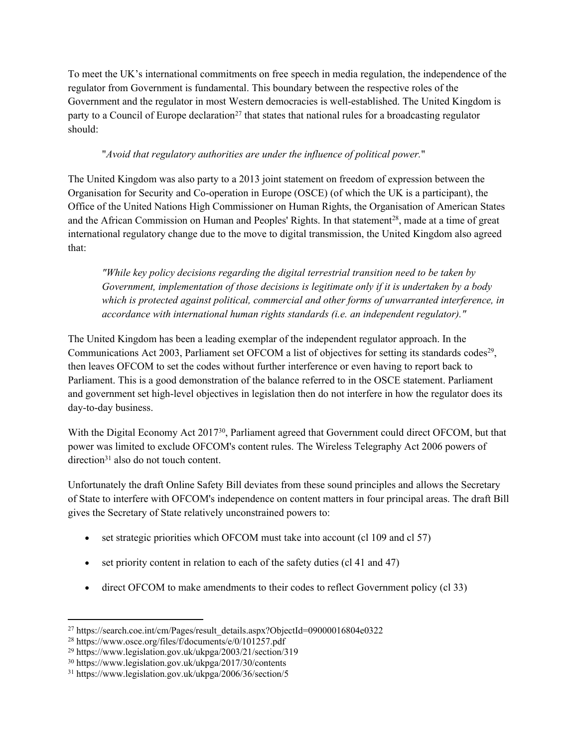To meet the UK's international commitments on free speech in media regulation, the independence of the regulator from Government is fundamental. This boundary between the respective roles of the Government and the regulator in most Western democracies is well-established. The United Kingdom is party to a Council of Europe declaration<sup>27</sup> that states that national rules for a broadcasting regulator should:

### "*Avoid that regulatory authorities are under the influence of political power.*"

The United Kingdom was also party to a 2013 joint statement on freedom of expression between the Organisation for Security and Co-operation in Europe (OSCE) (of which the UK is a participant), the Office of the United Nations High Commissioner on Human Rights, the Organisation of American States and the African Commission on Human and Peoples' Rights. In that statement<sup>28</sup>, made at a time of great international regulatory change due to the move to digital transmission, the United Kingdom also agreed that:

*"While key policy decisions regarding the digital terrestrial transition need to be taken by Government, implementation of those decisions is legitimate only if it is undertaken by a body which is protected against political, commercial and other forms of unwarranted interference, in accordance with international human rights standards (i.e. an independent regulator)."*

The United Kingdom has been a leading exemplar of the independent regulator approach. In the Communications Act 2003, Parliament set OFCOM a list of objectives for setting its standards codes<sup>29</sup>, then leaves OFCOM to set the codes without further interference or even having to report back to Parliament. This is a good demonstration of the balance referred to in the OSCE statement. Parliament and government set high-level objectives in legislation then do not interfere in how the regulator does its day-to-day business.

With the Digital Economy Act 2017<sup>30</sup>, Parliament agreed that Government could direct OFCOM, but that power was limited to exclude OFCOM's content rules. The Wireless Telegraphy Act 2006 powers of direction<sup>31</sup> also do not touch content.

Unfortunately the draft Online Safety Bill deviates from these sound principles and allows the Secretary of State to interfere with OFCOM's independence on content matters in four principal areas. The draft Bill gives the Secretary of State relatively unconstrained powers to:

- set strategic priorities which OFCOM must take into account (cl 109 and cl 57)
- $\bullet$  set priority content in relation to each of the safety duties (cl 41 and 47)
- direct OFCOM to make amendments to their codes to reflect Government policy (cl 33)

<sup>&</sup>lt;sup>27</sup> https://search.coe.int/cm/Pages/result\_details.aspx?ObjectId=09000016804e0322

<sup>28</sup> https://www.osce.org/files/f/documents/e/0/101257.pdf

<sup>29</sup> https://www.legislation.gov.uk/ukpga/2003/21/section/319

<sup>30</sup> https://www.legislation.gov.uk/ukpga/2017/30/contents

<sup>31</sup> https://www.legislation.gov.uk/ukpga/2006/36/section/5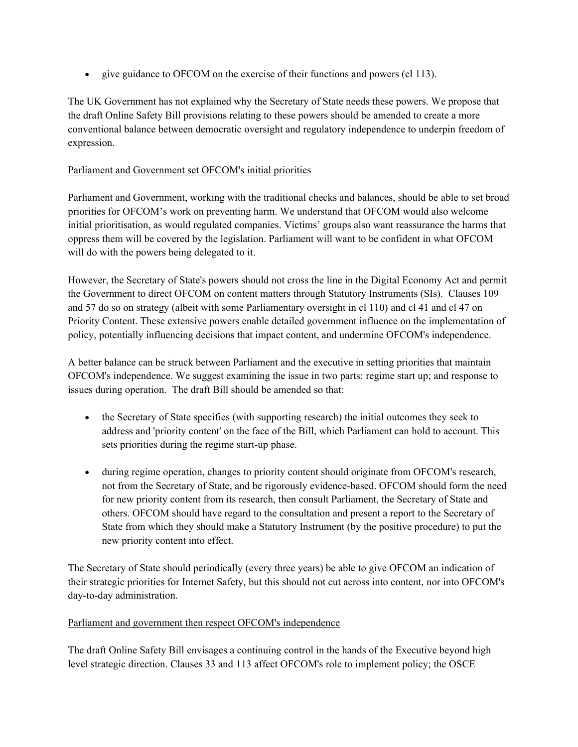give guidance to OFCOM on the exercise of their functions and powers (cl 113).

The UK Government has not explained why the Secretary of State needs these powers. We propose that the draft Online Safety Bill provisions relating to these powers should be amended to create a more conventional balance between democratic oversight and regulatory independence to underpin freedom of expression.

#### Parliament and Government set OFCOM's initial priorities

Parliament and Government, working with the traditional checks and balances, should be able to set broad priorities for OFCOM's work on preventing harm. We understand that OFCOM would also welcome initial prioritisation, as would regulated companies. Victims' groups also want reassurance the harms that oppress them will be covered by the legislation. Parliament will want to be confident in what OFCOM will do with the powers being delegated to it.

However, the Secretary of State's powers should not cross the line in the Digital Economy Act and permit the Government to direct OFCOM on content matters through Statutory Instruments (SIs). Clauses 109 and 57 do so on strategy (albeit with some Parliamentary oversight in cl 110) and cl 41 and cl 47 on Priority Content. These extensive powers enable detailed government influence on the implementation of policy, potentially influencing decisions that impact content, and undermine OFCOM's independence.

A better balance can be struck between Parliament and the executive in setting priorities that maintain OFCOM's independence. We suggest examining the issue in two parts: regime start up; and response to issues during operation. The draft Bill should be amended so that:

- the Secretary of State specifies (with supporting research) the initial outcomes they seek to address and 'priority content' on the face of the Bill, which Parliament can hold to account. This sets priorities during the regime start-up phase.
- during regime operation, changes to priority content should originate from OFCOM's research, not from the Secretary of State, and be rigorously evidence-based. OFCOM should form the need for new priority content from its research, then consult Parliament, the Secretary of State and others. OFCOM should have regard to the consultation and present a report to the Secretary of State from which they should make a Statutory Instrument (by the positive procedure) to put the new priority content into effect.

The Secretary of State should periodically (every three years) be able to give OFCOM an indication of their strategic priorities for Internet Safety, but this should not cut across into content, nor into OFCOM's day-to-day administration.

#### Parliament and government then respect OFCOM's independence

The draft Online Safety Bill envisages a continuing control in the hands of the Executive beyond high level strategic direction. Clauses 33 and 113 affect OFCOM's role to implement policy; the OSCE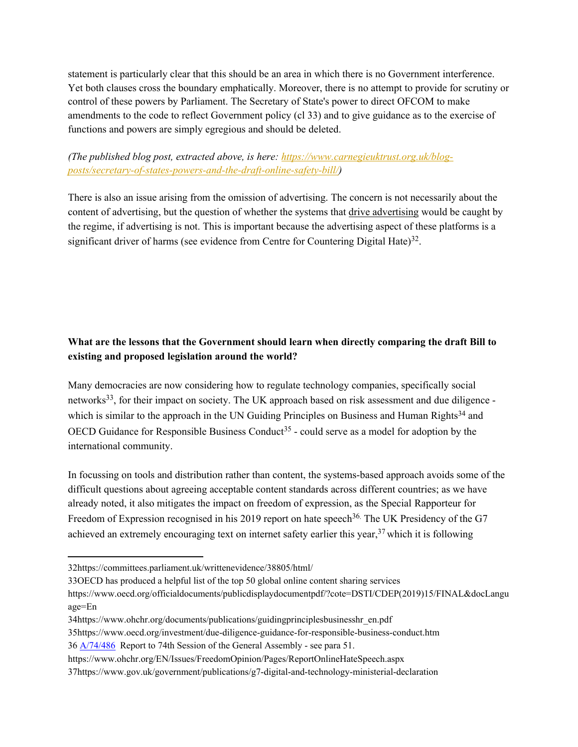statement is particularly clear that this should be an area in which there is no Government interference. Yet both clauses cross the boundary emphatically. Moreover, there is no attempt to provide for scrutiny or control of these powers by Parliament. The Secretary of State's power to direct OFCOM to make amendments to the code to reflect Government policy (cl 33) and to give guidance as to the exercise of functions and powers are simply egregious and should be deleted.

### *(The published blog post, extracted above, is here: [https://www.carnegieuktrust.org.uk/blog](https://www.carnegieuktrust.org.uk/blog-posts/secretary-of-states-powers-and-the-draft-online-safety-bill/)[posts/secretary-of-states-powers-and-the-draft-online-safety-bill/\)](https://www.carnegieuktrust.org.uk/blog-posts/secretary-of-states-powers-and-the-draft-online-safety-bill/)*

There is also an issue arising from the omission of advertising. The concern is not necessarily about the content of advertising, but the question of whether the systems that drive advertising would be caught by the regime, if advertising is not. This is important because the advertising aspect of these platforms is a significant driver of harms (see evidence from Centre for Countering Digital Hate) $32$ .

## **What are the lessons that the Government should learn when directly comparing the draft Bill to existing and proposed legislation around the world?**

Many democracies are now considering how to regulate technology companies, specifically social networks<sup>33</sup>, for their impact on society. The UK approach based on risk assessment and due diligence which is similar to the approach in the UN Guiding Principles on Business and Human Rights<sup>34</sup> and OECD Guidance for Responsible Business Conduct<sup>35</sup> - could serve as a model for adoption by the international community.

In focussing on tools and distribution rather than content, the systems-based approach avoids some of the difficult questions about agreeing acceptable content standards across different countries; as we have already noted, it also mitigates the impact on freedom of expression, as the Special Rapporteur for Freedom of Expression recognised in his 2019 report on hate speech<sup>36</sup>. The UK Presidency of the G7 achieved an extremely encouraging text on internet safety earlier this year,<sup>37</sup> which it is following

<sup>32</sup>https://committees.parliament.uk/writtenevidence/38805/html/

<sup>33</sup>OECD has produced a helpful list of the top 50 global online content sharing services

https://www.oecd.org/officialdocuments/publicdisplaydocumentpdf/?cote=DSTI/CDEP(2019)15/FINAL&docLangu age=En

<sup>34</sup>https://www.ohchr.org/documents/publications/guidingprinciplesbusinesshr\_en.pdf

<sup>35</sup>https://www.oecd.org/investment/due-diligence-guidance-for-responsible-business-conduct.htm

<sup>36</sup> [A/74/486](https://www.undocs.org/A/74/486) Report to 74th Session of the General Assembly - see para 51.

https://www.ohchr.org/EN/Issues/FreedomOpinion/Pages/ReportOnlineHateSpeech.aspx

<sup>37</sup>https://www.gov.uk/government/publications/g7-digital-and-technology-ministerial-declaration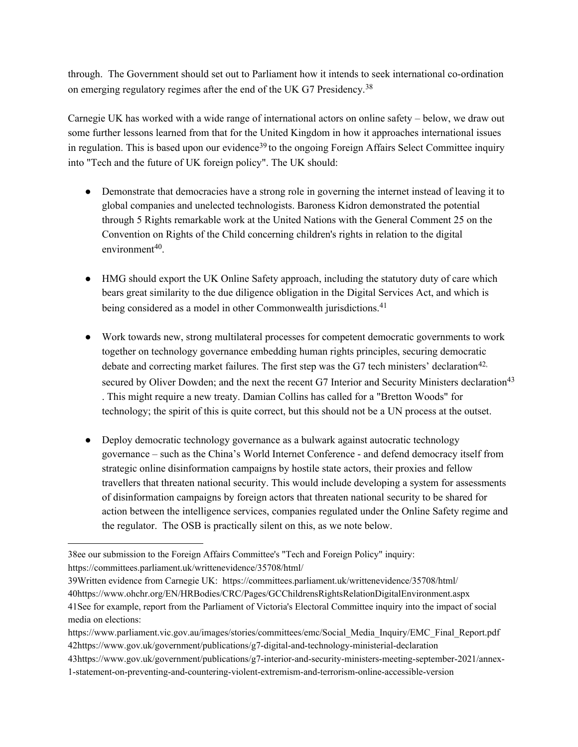through. The Government should set out to Parliament how it intends to seek international co-ordination on emerging regulatory regimes after the end of the UK G7 Presidency.<sup>38</sup>

Carnegie UK has worked with a wide range of international actors on online safety – below, we draw out some further lessons learned from that for the United Kingdom in how it approaches international issues in regulation. This is based upon our evidence<sup>39</sup> to the ongoing Foreign Affairs Select Committee inquiry into "Tech and the future of UK foreign policy". The UK should:

- Demonstrate that democracies have a strong role in governing the internet instead of leaving it to global companies and unelected technologists. Baroness Kidron demonstrated the potential through 5 Rights remarkable work at the United Nations with the General Comment 25 on the Convention on Rights of the Child concerning children's rights in relation to the digital environment<sup>40</sup>.
- HMG should export the UK Online Safety approach, including the statutory duty of care which bears great similarity to the due diligence obligation in the Digital Services Act, and which is being considered as a model in other Commonwealth jurisdictions.<sup>41</sup>
- Work towards new, strong multilateral processes for competent democratic governments to work together on technology governance embedding human rights principles, securing democratic debate and correcting market failures. The first step was the G7 tech ministers' declaration<sup>42,</sup> secured by Oliver Dowden; and the next the recent G7 Interior and Security Ministers declaration<sup>43</sup> . This might require a new treaty. Damian Collins has called for a "Bretton Woods" for technology; the spirit of this is quite correct, but this should not be a UN process at the outset.
- Deploy democratic technology governance as a bulwark against autocratic technology governance – such as the China's World Internet Conference - and defend democracy itself from strategic online disinformation campaigns by hostile state actors, their proxies and fellow travellers that threaten national security. This would include developing a system for assessments of disinformation campaigns by foreign actors that threaten national security to be shared for action between the intelligence services, companies regulated under the Online Safety regime and the regulator. The OSB is practically silent on this, as we note below.

39Written evidence from Carnegie UK: https://committees.parliament.uk/writtenevidence/35708/html/ 40https://www.ohchr.org/EN/HRBodies/CRC/Pages/GCChildrensRightsRelationDigitalEnvironment.aspx 41See for example, report from the Parliament of Victoria's Electoral Committee inquiry into the impact of social media on elections:

43https://www.gov.uk/government/publications/g7-interior-and-security-ministers-meeting-september-2021/annex-1-statement-on-preventing-and-countering-violent-extremism-and-terrorism-online-accessible-version

<sup>38</sup>ee our submission to the Foreign Affairs Committee's "Tech and Foreign Policy" inquiry: https://committees.parliament.uk/writtenevidence/35708/html/

https://www.parliament.vic.gov.au/images/stories/committees/emc/Social\_Media\_Inquiry/EMC\_Final\_Report.pdf 42https://www.gov.uk/government/publications/g7-digital-and-technology-ministerial-declaration